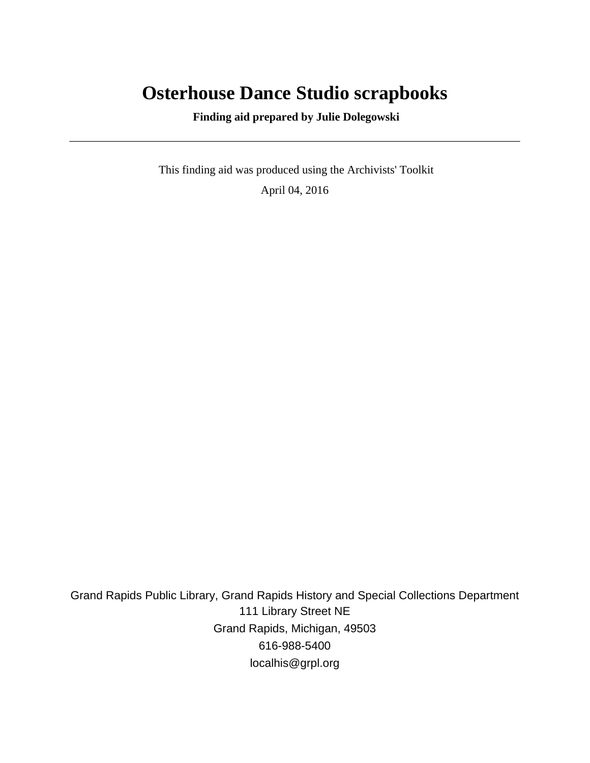# **Osterhouse Dance Studio scrapbooks**

 **Finding aid prepared by Julie Dolegowski**

 This finding aid was produced using the Archivists' Toolkit April 04, 2016

Grand Rapids Public Library, Grand Rapids History and Special Collections Department 111 Library Street NE Grand Rapids, Michigan, 49503 616-988-5400 localhis@grpl.org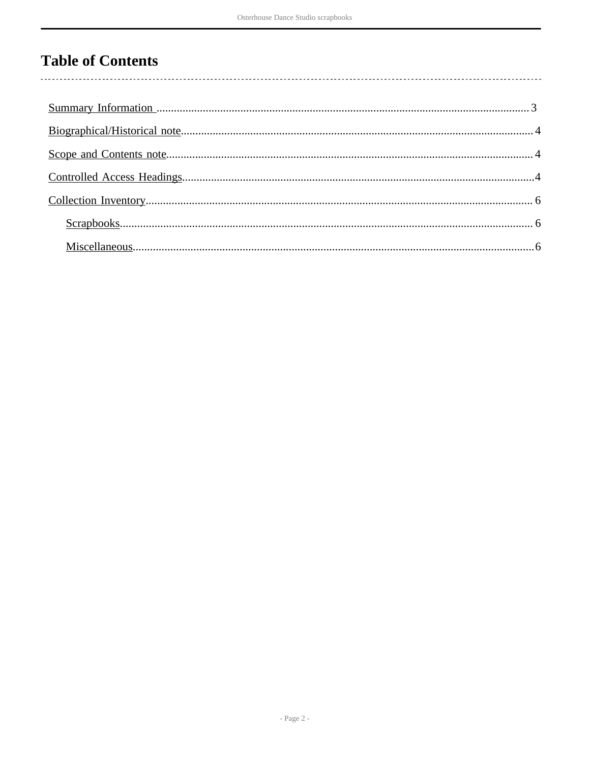# **Table of Contents**

 $\overline{\phantom{a}}$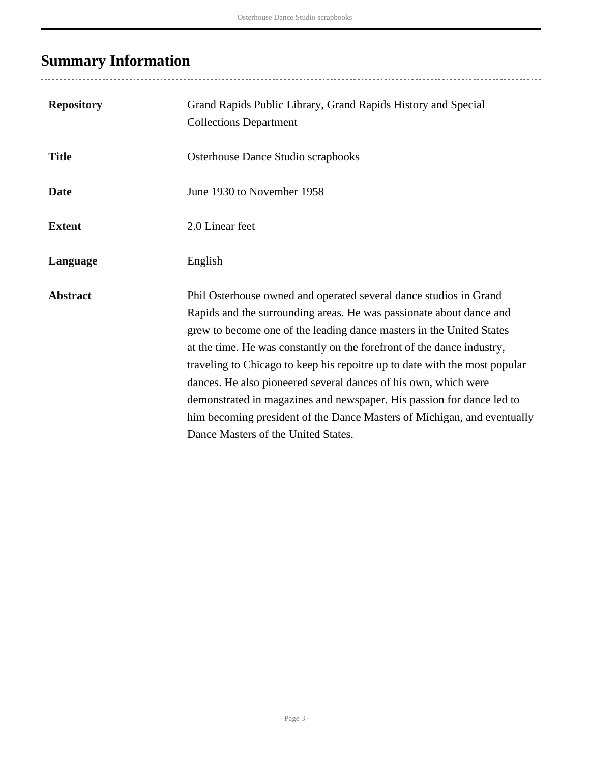# <span id="page-2-0"></span>**Summary Information**

| <b>Repository</b> | Grand Rapids Public Library, Grand Rapids History and Special<br><b>Collections Department</b>                                                                                                                                                                                                                                                                                                                                                                                                                                                                                                                                         |
|-------------------|----------------------------------------------------------------------------------------------------------------------------------------------------------------------------------------------------------------------------------------------------------------------------------------------------------------------------------------------------------------------------------------------------------------------------------------------------------------------------------------------------------------------------------------------------------------------------------------------------------------------------------------|
| <b>Title</b>      | Osterhouse Dance Studio scrapbooks                                                                                                                                                                                                                                                                                                                                                                                                                                                                                                                                                                                                     |
| <b>Date</b>       | June 1930 to November 1958                                                                                                                                                                                                                                                                                                                                                                                                                                                                                                                                                                                                             |
| <b>Extent</b>     | 2.0 Linear feet                                                                                                                                                                                                                                                                                                                                                                                                                                                                                                                                                                                                                        |
| Language          | English                                                                                                                                                                                                                                                                                                                                                                                                                                                                                                                                                                                                                                |
| <b>Abstract</b>   | Phil Osterhouse owned and operated several dance studios in Grand<br>Rapids and the surrounding areas. He was passionate about dance and<br>grew to become one of the leading dance masters in the United States<br>at the time. He was constantly on the forefront of the dance industry,<br>traveling to Chicago to keep his repoitre up to date with the most popular<br>dances. He also pioneered several dances of his own, which were<br>demonstrated in magazines and newspaper. His passion for dance led to<br>him becoming president of the Dance Masters of Michigan, and eventually<br>Dance Masters of the United States. |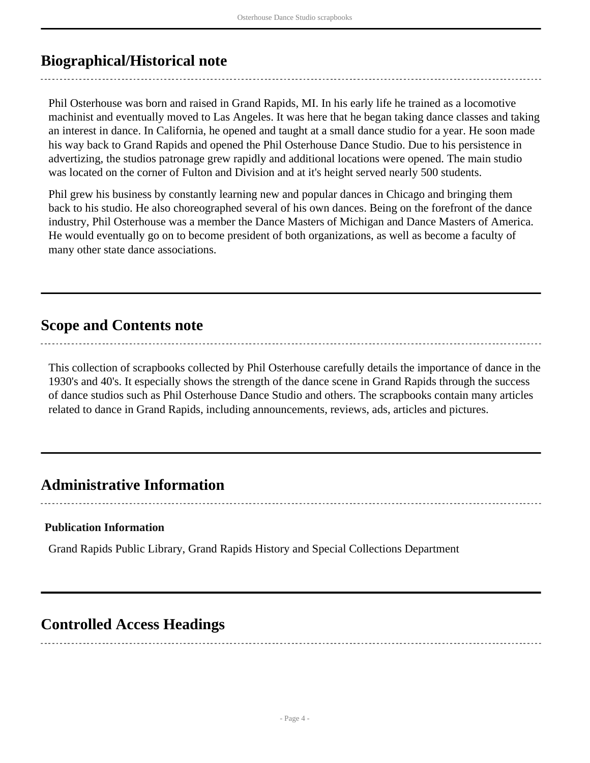## <span id="page-3-0"></span>**Biographical/Historical note**

Phil Osterhouse was born and raised in Grand Rapids, MI. In his early life he trained as a locomotive machinist and eventually moved to Las Angeles. It was here that he began taking dance classes and taking an interest in dance. In California, he opened and taught at a small dance studio for a year. He soon made his way back to Grand Rapids and opened the Phil Osterhouse Dance Studio. Due to his persistence in advertizing, the studios patronage grew rapidly and additional locations were opened. The main studio was located on the corner of Fulton and Division and at it's height served nearly 500 students.

Phil grew his business by constantly learning new and popular dances in Chicago and bringing them back to his studio. He also choreographed several of his own dances. Being on the forefront of the dance industry, Phil Osterhouse was a member the Dance Masters of Michigan and Dance Masters of America. He would eventually go on to become president of both organizations, as well as become a faculty of many other state dance associations.

## <span id="page-3-1"></span>**Scope and Contents note**

This collection of scrapbooks collected by Phil Osterhouse carefully details the importance of dance in the 1930's and 40's. It especially shows the strength of the dance scene in Grand Rapids through the success of dance studios such as Phil Osterhouse Dance Studio and others. The scrapbooks contain many articles related to dance in Grand Rapids, including announcements, reviews, ads, articles and pictures.

## **Administrative Information**

#### **Publication Information**

Grand Rapids Public Library, Grand Rapids History and Special Collections Department

## <span id="page-3-2"></span>**Controlled Access Headings**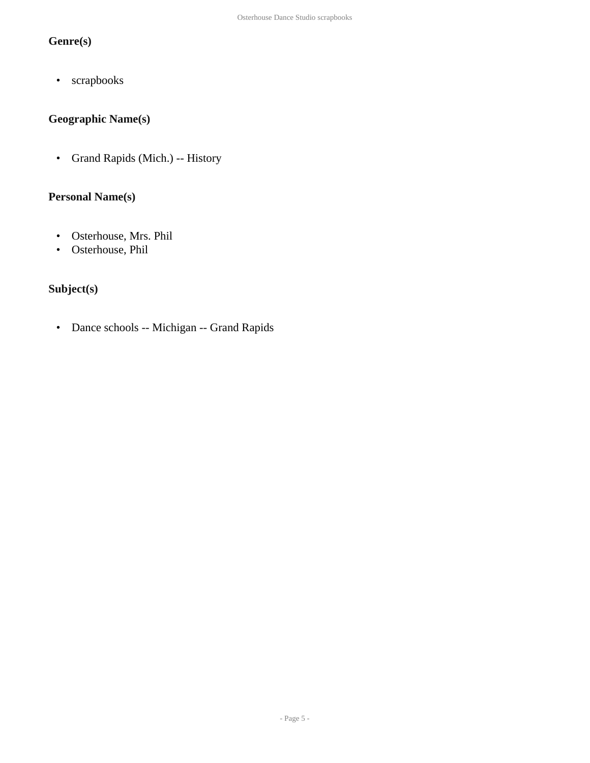#### **Genre(s)**

• scrapbooks

### **Geographic Name(s)**

• Grand Rapids (Mich.) -- History

#### **Personal Name(s)**

- Osterhouse, Mrs. Phil
- Osterhouse, Phil

#### **Subject(s)**

• Dance schools -- Michigan -- Grand Rapids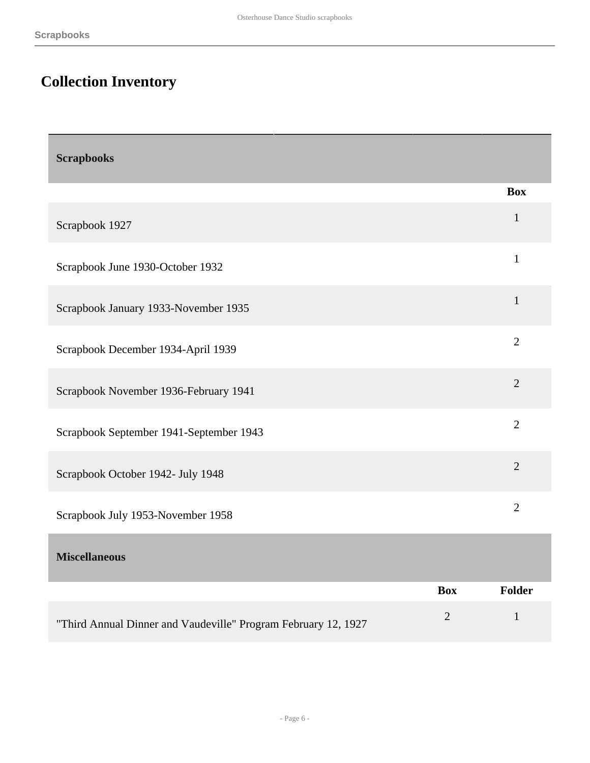# <span id="page-5-0"></span>**Collection Inventory**

<span id="page-5-2"></span><span id="page-5-1"></span>

| <b>Scrapbooks</b>                                              |                |                |
|----------------------------------------------------------------|----------------|----------------|
|                                                                |                | <b>Box</b>     |
| Scrapbook 1927                                                 |                | $\mathbf{1}$   |
| Scrapbook June 1930-October 1932                               |                | $\mathbf{1}$   |
| Scrapbook January 1933-November 1935                           |                | $\mathbf{1}$   |
| Scrapbook December 1934-April 1939                             |                | $\overline{2}$ |
| Scrapbook November 1936-February 1941                          |                | $\overline{2}$ |
| Scrapbook September 1941-September 1943                        |                | $\overline{2}$ |
| Scrapbook October 1942- July 1948                              |                | $\overline{2}$ |
| Scrapbook July 1953-November 1958                              |                | $\overline{2}$ |
| <b>Miscellaneous</b>                                           |                |                |
|                                                                | <b>Box</b>     | <b>Folder</b>  |
| "Third Annual Dinner and Vaudeville" Program February 12, 1927 | $\overline{2}$ | $\mathbf{1}$   |